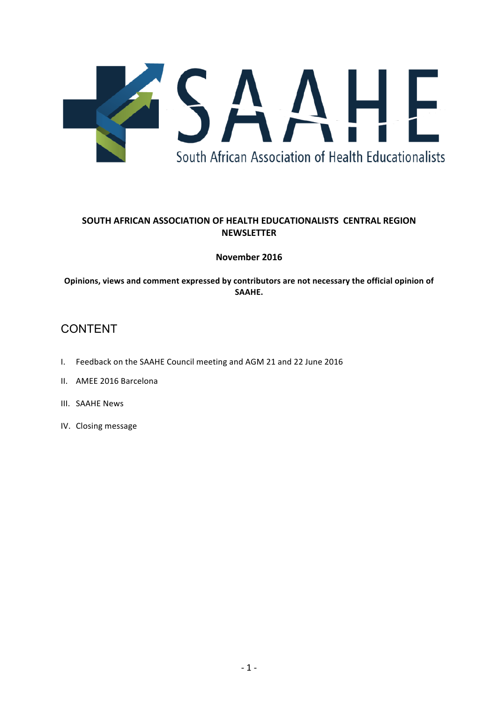

# **SOUTH AFRICAN ASSOCIATION OF HEALTH EDUCATIONALISTS CENTRAL REGION NEWSLETTER**

# **November 2016**

Opinions, views and comment expressed by contributors are not necessary the official opinion of **SAAHE.**

# CONTENT

- I. Feedback on the SAAHE Council meeting and AGM 21 and 22 June 2016
- II. AMEE 2016 Barcelona
- III. SAAHE News
- IV. Closing message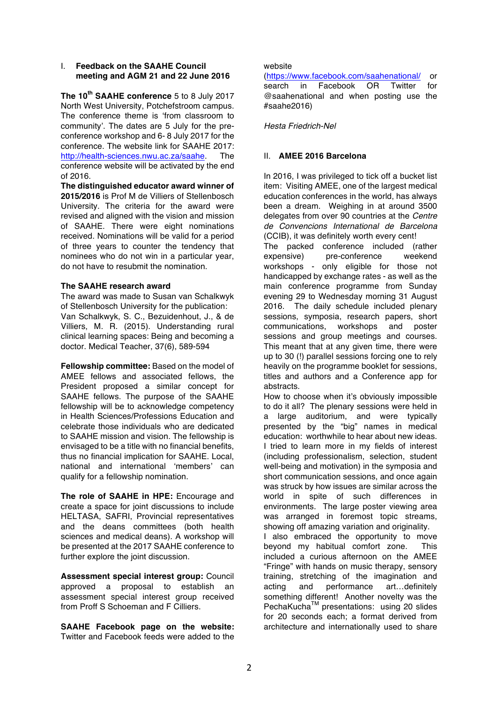# I. **Feedback on the SAAHE Council meeting and AGM 21 and 22 June 2016**

**The 10th SAAHE conference** 5 to 8 July 2017 North West University, Potchefstroom campus. The conference theme is 'from classroom to community'. The dates are 5 July for the preconference workshop and 6- 8 July 2017 for the conference. The website link for SAAHE 2017: http://health-sciences.nwu.ac.za/saahe. The conference website will be activated by the end of 2016.

**The distinguished educator award winner of 2015/2016** is Prof M de Villiers of Stellenbosch University. The criteria for the award were revised and aligned with the vision and mission of SAAHE. There were eight nominations received. Nominations will be valid for a period of three years to counter the tendency that nominees who do not win in a particular year, do not have to resubmit the nomination.

## **The SAAHE research award**

The award was made to Susan van Schalkwyk of Stellenbosch University for the publication: Van Schalkwyk, S. C., Bezuidenhout, J., & de Villiers, M. R. (2015). Understanding rural clinical learning spaces: Being and becoming a doctor. Medical Teacher, 37(6), 589-594

**Fellowship committee:** Based on the model of AMEE fellows and associated fellows, the President proposed a similar concept for SAAHE fellows. The purpose of the SAAHE fellowship will be to acknowledge competency in Health Sciences/Professions Education and celebrate those individuals who are dedicated to SAAHE mission and vision. The fellowship is envisaged to be a title with no financial benefits, thus no financial implication for SAAHE. Local, national and international 'members' can qualify for a fellowship nomination.

**The role of SAAHE in HPE:** Encourage and create a space for joint discussions to include HELTASA, SAFRI, Provincial representatives and the deans committees (both health sciences and medical deans). A workshop will be presented at the 2017 SAAHE conference to further explore the joint discussion.

**Assessment special interest group:** Council approved a proposal to establish an assessment special interest group received from Proff S Schoeman and F Cilliers.

**SAAHE Facebook page on the website:**  Twitter and Facebook feeds were added to the website

(https://www.facebook.com/saahenational/ or search in Facebook OR Twitter for @saahenational and when posting use the #saahe2016)

*Hesta Friedrich-Nel*

# II. **AMEE 2016 Barcelona**

In 2016, I was privileged to tick off a bucket list item: Visiting AMEE, one of the largest medical education conferences in the world, has always been a dream. Weighing in at around 3500 delegates from over 90 countries at the *Centre de Convencions International de Barcelona* (CCIB), it was definitely worth every cent!

The packed conference included (rather expensive) pre-conference weekend workshops - only eligible for those not handicapped by exchange rates - as well as the main conference programme from Sunday evening 29 to Wednesday morning 31 August 2016. The daily schedule included plenary sessions, symposia, research papers, short communications, workshops and poster sessions and group meetings and courses. This meant that at any given time, there were up to 30 (!) parallel sessions forcing one to rely heavily on the programme booklet for sessions, titles and authors and a Conference app for abstracts.

How to choose when it's obviously impossible to do it all? The plenary sessions were held in a large auditorium, and were typically presented by the "big" names in medical education: worthwhile to hear about new ideas. I tried to learn more in my fields of interest (including professionalism, selection, student well-being and motivation) in the symposia and short communication sessions, and once again was struck by how issues are similar across the world in spite of such differences in environments. The large poster viewing area was arranged in foremost topic streams, showing off amazing variation and originality.

I also embraced the opportunity to move beyond my habitual comfort zone. This included a curious afternoon on the AMEE "Fringe" with hands on music therapy, sensory training, stretching of the imagination and acting and performance art…definitely something different! Another novelty was the PechaKucha™ presentations: using 20 slides for 20 seconds each; a format derived from architecture and internationally used to share